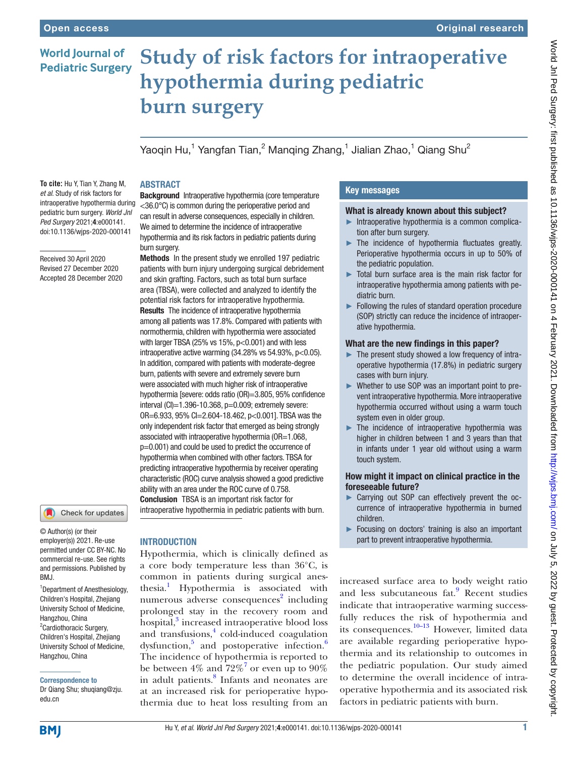# **World Journal of Pediatric Surgery**

# **Study of risk factors for intraoperative hypothermia during pediatric burn surgery**

Yaoqin Hu,<sup>1</sup> Yangfan Tian,<sup>2</sup> Manqing Zhang,<sup>1</sup> Jialian Zhao,<sup>1</sup> Qiang Shu<sup>2</sup>

#### **To cite:** Hu Y, Tian Y, Zhang M, *et al*. Study of risk factors for intraoperative hypothermia during pediatric burn surgery. *World Jnl Ped Surgery* 2021;4:e000141. doi:10.1136/wjps-2020-000141

Received 30 April 2020 Revised 27 December 2020 Accepted 28 December 2020



© Author(s) (or their employer(s)) 2021. Re-use permitted under CC BY-NC. No commercial re-use. See rights and permissions. Published by BMJ.

1 Department of Anesthesiology, Children's Hospital, Zhejiang University School of Medicine, Hangzhou, China <sup>2</sup> Cardiothoracic Surgery, Children's Hospital, Zhejiang University School of Medicine, Hangzhou, China

#### Correspondence to

Dr Qiang Shu; shuqiang@zju. edu.cn

# ABSTRACT **Background** Intraoperative hypothermia (core temperature <36.0°C) is common during the perioperative period and

can result in adverse consequences, especially in children. We aimed to determine the incidence of intraoperative hypothermia and its risk factors in pediatric patients during burn surgery.

Methods In the present study we enrolled 197 pediatric patients with burn injury undergoing surgical debridement and skin grafting. Factors, such as total burn surface area (TBSA), were collected and analyzed to identify the potential risk factors for intraoperative hypothermia. Results The incidence of intraoperative hypothermia among all patients was 17.8%. Compared with patients with normothermia, children with hypothermia were associated with larger TBSA (25% vs  $15%$ ,  $p<0.001$ ) and with less intraoperative active warming  $(34.28\% \text{ vs } 54.93\%, \text{ p} < 0.05)$ . In addition, compared with patients with moderate-degree burn, patients with severe and extremely severe burn were associated with much higher risk of intraoperative hypothermia [severe: odds ratio (OR)=3.805, 95% confidence interval  $(CI)=1.396-10.368$ ,  $p=0.009$ ; extremely severe: OR=6.933, 95% CI=2.604-18.462, p<0.001]. TBSA was the only independent risk factor that emerged as being strongly associated with intraoperative hypothermia (OR=1.068, p=0.001) and could be used to predict the occurrence of hypothermia when combined with other factors. TBSA for predicting intraoperative hypothermia by receiver operating characteristic (ROC) curve analysis showed a good predictive ability with an area under the ROC curve of 0.758. Conclusion TBSA is an important risk factor for intraoperative hypothermia in pediatric patients with burn.

# INTRODUCTION

Hypothermia, which is clinically defined as a core body temperature less than 36°C, is common in patients during surgical anes-thesia.<sup>[1](#page-4-0)</sup> Hypothermia is associated with numerous adverse consequences<sup>[2](#page-4-1)</sup> including prolonged stay in the recovery room and hospital,<sup>3</sup> increased intraoperative blood loss and transfusions,<sup>[4](#page-4-3)</sup> cold-induced coagulation dysfunction,<sup>5</sup> and postoperative infection.<sup>6</sup> The incidence of hypothermia is reported to be between 4% and  $72\%$  $72\%$ <sup>7</sup> or even up to 90% in adult patients.<sup>[8](#page-4-7)</sup> Infants and neonates are at an increased risk for perioperative hypothermia due to heat loss resulting from an

# Key messages

### What is already known about this subject?

- Intraoperative hypothermia is a common complication after burn surgery.
- ► The incidence of hypothermia fluctuates greatly. Perioperative hypothermia occurs in up to 50% of the pediatric population.
- ► Total burn surface area is the main risk factor for intraoperative hypothermia among patients with pediatric burn.
- ► Following the rules of standard operation procedure (SOP) strictly can reduce the incidence of intraoperative hypothermia.

## What are the new findings in this paper?

- ► The present study showed a low frequency of intraoperative hypothermia (17.8%) in pediatric surgery cases with burn injury.
- ► Whether to use SOP was an important point to prevent intraoperative hypothermia. More intraoperative hypothermia occurred without using a warm touch system even in older group.
- ► The incidence of intraoperative hypothermia was higher in children between 1 and 3 years than that in infants under 1 year old without using a warm touch system.

### How might it impact on clinical practice in the foreseeable future?

- ► Carrying out SOP can effectively prevent the occurrence of intraoperative hypothermia in burned children.
- ► Focusing on doctors' training is also an important part to prevent intraoperative hypothermia.

increased surface area to body weight ratio and less subcutaneous fat.<sup>9</sup> Recent studies indicate that intraoperative warming successfully reduces the risk of hypothermia and its consequences. $10-13$  However, limited data are available regarding perioperative hypothermia and its relationship to outcomes in the pediatric population. Our study aimed to determine the overall incidence of intraoperative hypothermia and its associated risk factors in pediatric patients with burn.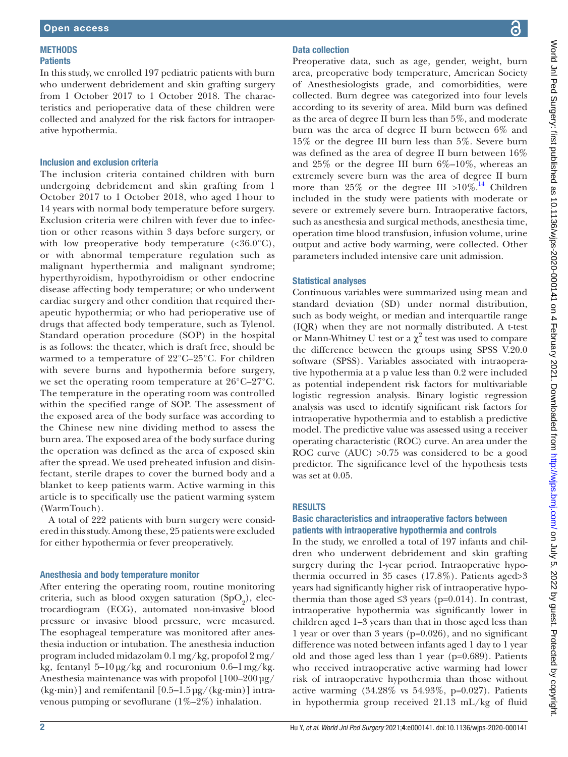#### **METHODS Patients**

In this study, we enrolled 197 pediatric patients with burn who underwent debridement and skin grafting surgery from 1 October 2017 to 1 October 2018. The characteristics and perioperative data of these children were collected and analyzed for the risk factors for intraoperative hypothermia.

## Inclusion and exclusion criteria

The inclusion criteria contained children with burn undergoing debridement and skin grafting from 1 October 2017 to 1 October 2018, who aged 1 hour to 14 years with normal body temperature before surgery. Exclusion criteria were chilren with fever due to infection or other reasons within 3 days before surgery, or with low preoperative body temperature  $\langle \langle 36.0^{\circ} \text{C} \rangle$ , or with abnormal temperature regulation such as malignant hyperthermia and malignant syndrome; hyperthyroidism, hypothyroidism or other endocrine disease affecting body temperature; or who underwent cardiac surgery and other condition that required therapeutic hypothermia; or who had perioperative use of drugs that affected body temperature, such as Tylenol. Standard operation procedure (SOP) in the hospital is as follows: the theater, which is draft free, should be warmed to a temperature of 22°C–25°C. For children with severe burns and hypothermia before surgery, we set the operating room temperature at 26°C–27°C. The temperature in the operating room was controlled within the specified range of SOP. The assessment of the exposed area of the body surface was according to the Chinese new nine dividing method to assess the burn area. The exposed area of the body surface during the operation was defined as the area of exposed skin after the spread. We used preheated infusion and disinfectant, sterile drapes to cover the burned body and a blanket to keep patients warm. Active warming in this article is to specifically use the patient warming system (WarmTouch).

A total of 222 patients with burn surgery were considered in this study. Among these, 25 patients were excluded for either hypothermia or fever preoperatively.

### Anesthesia and body temperature monitor

After entering the operating room, routine monitoring criteria, such as blood oxygen saturation  $(SpO<sub>2</sub>)$ , electrocardiogram (ECG), automated non-invasive blood pressure or invasive blood pressure, were measured. The esophageal temperature was monitored after anesthesia induction or intubation. The anesthesia induction program included midazolam 0.1 mg/kg, propofol 2 mg/ kg, fentanyl 5–10  $\mu$ g/kg and rocuronium 0.6–1 mg/kg. Anesthesia maintenance was with propofol [100–200μg/  $(kg\cdot min)$ ] and remifentanil  $[0.5-1.5\,\mu g/(kg\cdot min)]$  intravenous pumping or sevoflurane (1%–2%) inhalation.

# Data collection

Preoperative data, such as age, gender, weight, burn area, preoperative body temperature, American Society of Anesthesiologists grade, and comorbidities, were collected. Burn degree was categorized into four levels according to its severity of area. Mild burn was defined as the area of degree II burn less than 5%, and moderate burn was the area of degree II burn between 6% and 15% or the degree III burn less than 5%. Severe burn was defined as the area of degree II burn between 16% and  $25\%$  or the degree III burn  $6\%$ -10%, whereas an extremely severe burn was the area of degree II burn more than 25% or the degree III >10%.<sup>14</sup> Children included in the study were patients with moderate or severe or extremely severe burn. Intraoperative factors, such as anesthesia and surgical methods, anesthesia time, operation time blood transfusion, infusion volume, urine output and active body warming, were collected. Other parameters included intensive care unit admission.

### Statistical analyses

Continuous variables were summarized using mean and standard deviation (SD) under normal distribution, such as body weight, or median and interquartile range (IQR) when they are not normally distributed. A t-test or Mann-Whitney U test or a  $\chi^2$  test was used to compare the difference between the groups using SPSS V.20.0 software (SPSS). Variables associated with intraoperative hypothermia at a p value less than 0.2 were included as potential independent risk factors for multivariable logistic regression analysis. Binary logistic regression analysis was used to identify significant risk factors for intraoperative hypothermia and to establish a predictive model. The predictive value was assessed using a receiver operating characteristic (ROC) curve. An area under the ROC curve (AUC) >0.75 was considered to be a good predictor. The significance level of the hypothesis tests was set at 0.05.

### RESULTS

### Basic characteristics and intraoperative factors between patients with intraoperative hypothermia and controls

In the study, we enrolled a total of 197 infants and children who underwent debridement and skin grafting surgery during the 1-year period. Intraoperative hypothermia occurred in 35 cases (17.8%). Patients aged>3 years had significantly higher risk of intraoperative hypothermia than those aged  $\leq$ 3 years (p=0.014). In contrast, intraoperative hypothermia was significantly lower in children aged 1–3 years than that in those aged less than 1 year or over than 3 years (p=0.026), and no significant difference was noted between infants aged 1 day to 1 year old and those aged less than 1 year (p=0.689). Patients who received intraoperative active warming had lower risk of intraoperative hypothermia than those without active warming  $(34.28\% \text{ vs } 54.93\%, \text{ p=0.027}).$  Patients in hypothermia group received 21.13 mL/kg of fluid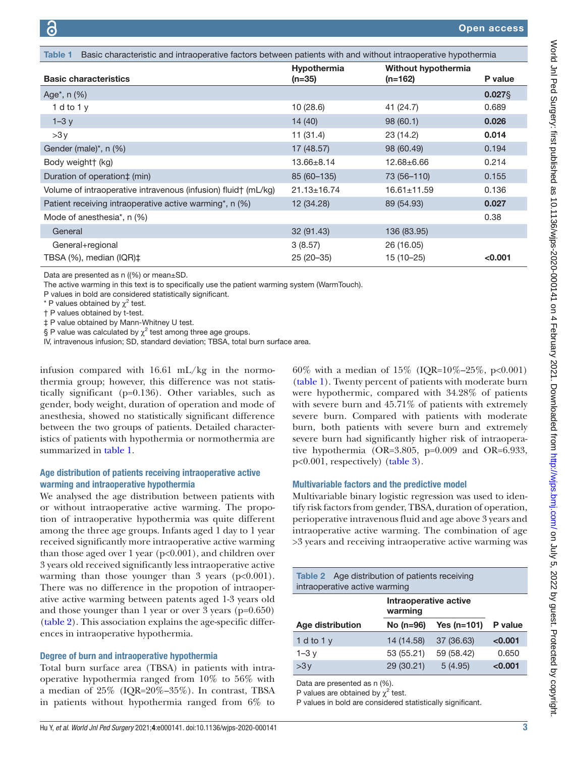<span id="page-2-0"></span>

| Basic characteristic and intraoperative factors between patients with and without intraoperative hypothermia<br>Table 1 |                                |                                  |           |
|-------------------------------------------------------------------------------------------------------------------------|--------------------------------|----------------------------------|-----------|
| <b>Basic characteristics</b>                                                                                            | <b>Hypothermia</b><br>$(n=35)$ | Without hypothermia<br>$(n=162)$ | P value   |
| Age <sup>*</sup> , $n$ (%)                                                                                              |                                |                                  | $0.027$ § |
| 1 d to $1v$                                                                                                             | 10 (28.6)                      | 41 (24.7)                        | 0.689     |
| $1-3y$                                                                                                                  | 14 (40)                        | 98(60.1)                         | 0.026     |
| >3y                                                                                                                     | 11 (31.4)                      | 23 (14.2)                        | 0.014     |
| Gender (male) $^*$ , n (%)                                                                                              | 17 (48.57)                     | 98 (60.49)                       | 0.194     |
| Body weight† (kg)                                                                                                       | 13.66±8.14                     | $12.68 + 6.66$                   | 0.214     |
| Duration of operation‡ (min)                                                                                            | 85 (60 - 135)                  | 73 (56-110)                      | 0.155     |
| Volume of intraoperative intravenous (infusion) fluid† (mL/kg)                                                          | $21.13 \pm 16.74$              | $16.61 \pm 11.59$                | 0.136     |
| Patient receiving intraoperative active warming*, n (%)                                                                 | 12 (34.28)                     | 89 (54.93)                       | 0.027     |
| Mode of anesthesia*, n (%)                                                                                              |                                |                                  | 0.38      |
| General                                                                                                                 | 32(91.43)                      | 136 (83.95)                      |           |
| General+regional                                                                                                        | 3(8.57)                        | 26 (16.05)                       |           |
| TBSA (%), median (IQR)‡                                                                                                 | $25(20-35)$                    | 15 (10-25)                       | < 0.001   |

Data are presented as n ((%) or mean±SD.

The active warming in this text is to specifically use the patient warming system (WarmTouch).

P values in bold are considered statistically significant.

\* P values obtained by  $\chi^2$  test.

† P values obtained by t-test.

‡ P value obtained by Mann-Whitney U test.

§ P value was calculated by  $\chi^2$  test among three age groups.

IV, intravenous infusion; SD, standard deviation; TBSA, total burn surface area.

infusion compared with 16.61 mL/kg in the normothermia group; however, this difference was not statistically significant (p=0.136). Other variables, such as gender, body weight, duration of operation and mode of anesthesia, showed no statistically significant difference between the two groups of patients. Detailed characteristics of patients with hypothermia or normothermia are summarized in [table](#page-2-0) 1.

### Age distribution of patients receiving intraoperative active warming and intraoperative hypothermia

We analysed the age distribution between patients with or without intraoperative active warming. The propotion of intraoperative hypothermia was quite different among the three age groups. Infants aged 1 day to 1 year received significantly more intraoperative active warming than those aged over 1 year (p<0.001), and children over 3 years old received significantly less intraoperative active warming than those younger than 3 years  $(p<0.001)$ . There was no difference in the propotion of intraoperative active warming between patents aged 1-3 years old and those younger than 1 year or over 3 years (p=0.650) [\(table](#page-2-1) 2). This association explains the age-specific differences in intraoperative hypothermia.

#### Degree of burn and intraoperative hypothermia

Total burn surface area (TBSA) in patients with intraoperative hypothermia ranged from 10% to 56% with a median of 25% (IQR=20%–35%). In contrast, TBSA in patients without hypothermia ranged from 6% to

60% with a median of  $15\%$  (IQR= $10\%$ - $25\%$ , p<0.001) [\(table](#page-2-0) 1). Twenty percent of patients with moderate burn were hypothermic, compared with 34.28% of patients with severe burn and 45.71% of patients with extremely severe burn. Compared with patients with moderate burn, both patients with severe burn and extremely severe burn had significantly higher risk of intraoperative hypothermia (OR=3.805, p=0.009 and OR=6.933, p<0.001, respectively) [\(table](#page-3-0) 3).

#### Multivariable factors and the predictive model

Multivariable binary logistic regression was used to identify risk factors from gender, TBSA, duration of operation, perioperative intravenous fluid and age above 3 years and intraoperative active warming. The combination of age >3 years and receiving intraoperative active warming was

<span id="page-2-1"></span>

| <b>Table 2</b> Age distribution of patients receiving<br>intraoperative active warming |                                  |               |         |
|----------------------------------------------------------------------------------------|----------------------------------|---------------|---------|
|                                                                                        | Intraoperative active<br>warming |               |         |
| Age distribution                                                                       | $No$ (n=96)                      | Yes $(n=101)$ | P value |
| 1 d to 1 $v$                                                                           | 14 (14.58)                       | 37 (36.63)    | < 0.001 |
| $1-3y$                                                                                 | 53 (55.21)                       | 59 (58.42)    | 0.650   |
| >3v                                                                                    | 29 (30.21)                       | 5(4.95)       | < 0.001 |

Data are presented as n (%).

P values are obtained by  $\chi^2$  test.

P values in bold are considered statistically significant.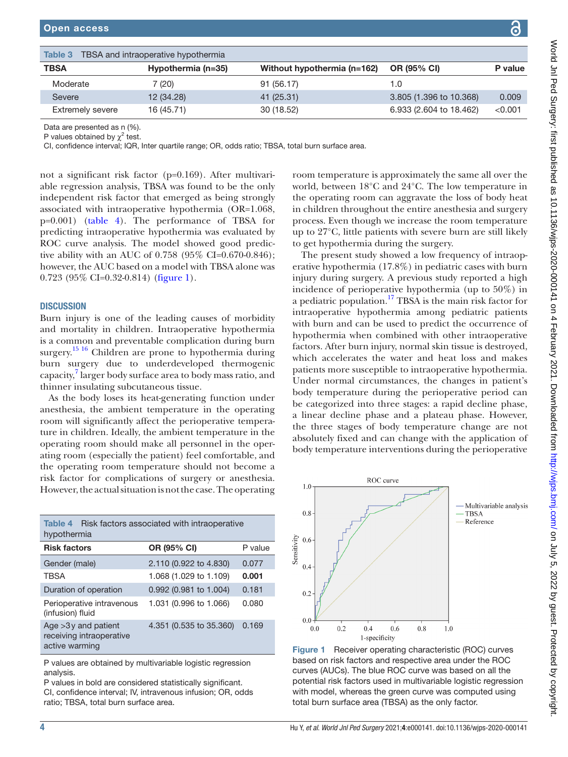| pen access |                                                   |                                         |         |
|------------|---------------------------------------------------|-----------------------------------------|---------|
|            | <b>ible 3</b> TBSA and intraoperative hypothermia |                                         |         |
| 3SA        | Hypothermia (n=35)                                | Without hypothermia (n=162) OR (95% CI) | P value |
| Moderate   | (20)                                              | 91 (56.17)                              |         |

| volta qui Lea outr<br><b>▲ In」DaalのImaan:firat。</b>                                   |
|---------------------------------------------------------------------------------------|
|                                                                                       |
|                                                                                       |
|                                                                                       |
|                                                                                       |
|                                                                                       |
|                                                                                       |
|                                                                                       |
|                                                                                       |
|                                                                                       |
|                                                                                       |
|                                                                                       |
|                                                                                       |
|                                                                                       |
|                                                                                       |
|                                                                                       |
|                                                                                       |
|                                                                                       |
|                                                                                       |
|                                                                                       |
|                                                                                       |
|                                                                                       |
|                                                                                       |
|                                                                                       |
|                                                                                       |
|                                                                                       |
|                                                                                       |
|                                                                                       |
|                                                                                       |
|                                                                                       |
|                                                                                       |
|                                                                                       |
|                                                                                       |
|                                                                                       |
|                                                                                       |
|                                                                                       |
|                                                                                       |
|                                                                                       |
|                                                                                       |
|                                                                                       |
|                                                                                       |
|                                                                                       |
|                                                                                       |
|                                                                                       |
|                                                                                       |
| . project do as 20.1130/wips-2020-000144 on 4 Tebruary 2022. Downloaded trom http://. |
|                                                                                       |
|                                                                                       |
|                                                                                       |
|                                                                                       |
|                                                                                       |
|                                                                                       |
|                                                                                       |
|                                                                                       |
|                                                                                       |
|                                                                                       |
|                                                                                       |
|                                                                                       |
|                                                                                       |
|                                                                                       |
|                                                                                       |
|                                                                                       |
|                                                                                       |
|                                                                                       |
|                                                                                       |
|                                                                                       |
|                                                                                       |
|                                                                                       |
|                                                                                       |
|                                                                                       |
|                                                                                       |
|                                                                                       |

Data are presented as n (%). P values obtained by  $\chi^2$  test.

<span id="page-3-0"></span>Table 3 TBSA and intraoperative hypotherm TBSA Hypothermia (n=

CI, confidence interval; IQR, Inter quartile range; OR, odds ratio; TBSA, total burn surface area.

Severe 12 (34.28) 41 (25.31) 3.805 (1.396 to 10.368) 0.009 Extremely severe 16 (45.71) 30 (18.52) 6.933 (2.604 to 18.462) <0.001

not a significant risk factor (p=0.169). After multivariable regression analysis, TBSA was found to be the only independent risk factor that emerged as being strongly associated with intraoperative hypothermia (OR=1.068, p=0.001) [\(table](#page-3-1) 4). The performance of TBSA for predicting intraoperative hypothermia was evaluated by ROC curve analysis. The model showed good predictive ability with an AUC of 0.758 (95% CI=0.670-0.846); however, the AUC based on a model with TBSA alone was 0.723 (95% CI=0.32-0.814) [\(figure](#page-3-2) 1).

#### **DISCUSSION**

Burn injury is one of the leading causes of morbidity and mortality in children. Intraoperative hypothermia is a common and preventable complication during burn surgery.<sup>[15 16](#page-5-1)</sup> Children are prone to hypothermia during burn surgery due to underdeveloped thermogenic capacity,<sup>[7](#page-4-6)</sup> larger body surface area to body mass ratio, and thinner insulating subcutaneous tissue.

As the body loses its heat-generating function under anesthesia, the ambient temperature in the operating room will significantly affect the perioperative temperature in children. Ideally, the ambient temperature in the operating room should make all personnel in the operating room (especially the patient) feel comfortable, and the operating room temperature should not become a risk factor for complications of surgery or anesthesia. However, the actual situation is not the case. The operating

<span id="page-3-1"></span>

| <b>Table 4</b> Risk factors associated with intraoperative<br>hypothermia |                         |         |  |
|---------------------------------------------------------------------------|-------------------------|---------|--|
| <b>Risk factors</b>                                                       | OR (95% CI)             | P value |  |
| Gender (male)                                                             | 2.110 (0.922 to 4.830)  | 0.077   |  |
| <b>TBSA</b>                                                               | 1.068 (1.029 to 1.109)  | 0.001   |  |
| Duration of operation                                                     | 0.992 (0.981 to 1.004)  | 0.181   |  |
| Perioperative intravenous<br>(infusion) fluid                             | 1.031 (0.996 to 1.066)  | 0.080   |  |
| Age $>3y$ and patient<br>receiving intraoperative<br>active warming       | 4.351 (0.535 to 35.360) | 0.169   |  |

P values are obtained by multivariable logistic regression analysis.

P values in bold are considered statistically significant. CI, confidence interval; IV, intravenous infusion; OR, odds ratio; TBSA, total burn surface area.

room temperature is approximately the same all over the world, between 18°C and 24°C. The low temperature in the operating room can aggravate the loss of body heat in children throughout the entire anesthesia and surgery process. Even though we increase the room temperature up to 27°C, little patients with severe burn are still likely to get hypothermia during the surgery.

The present study showed a low frequency of intraoperative hypothermia (17.8%) in pediatric cases with burn injury during surgery. A previous study reported a high incidence of perioperative hypothermia (up to 50%) in a pediatric population.[17](#page-5-2) TBSA is the main risk factor for intraoperative hypothermia among pediatric patients with burn and can be used to predict the occurrence of hypothermia when combined with other intraoperative factors. After burn injury, normal skin tissue is destroyed, which accelerates the water and heat loss and makes patients more susceptible to intraoperative hypothermia. Under normal circumstances, the changes in patient's body temperature during the perioperative period can be categorized into three stages: a rapid decline phase, a linear decline phase and a plateau phase. However, the three stages of body temperature change are not absolutely fixed and can change with the application of body temperature interventions during the perioperative



<span id="page-3-2"></span>Figure 1 Receiver operating characteristic (ROC) curves based on risk factors and respective area under the ROC curves (AUCs). The blue ROC curve was based on all the potential risk factors used in multivariable logistic regression with model, whereas the green curve was computed using total burn surface area (TBSA) as the only factor.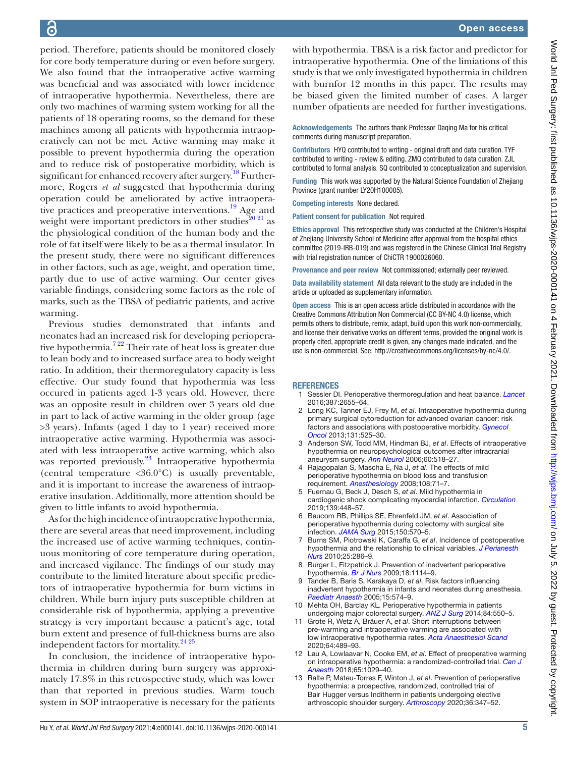period. Therefore, patients should be monitored closely for core body temperature during or even before surgery. We also found that the intraoperative active warming was beneficial and was associated with lower incidence of intraoperative hypothermia. Nevertheless, there are only two machines of warming system working for all the patients of 18 operating rooms, so the demand for these machines among all patients with hypothermia intraoperatively can not be met. Active warming may make it possible to prevent hypothermia during the operation and to reduce risk of postoperative morbidity, which is significant for enhanced recovery after surgery.<sup>18</sup> Furthermore, Rogers *et al* suggested that hypothermia during operation could be ameliorated by active intraoperative practices and preoperative interventions. $^{19}$  Age and weight were important predictors in other studies<sup>20 21</sup> as the physiological condition of the human body and the role of fat itself were likely to be as a thermal insulator. In the present study, there were no significant differences in other factors, such as age, weight, and operation time, partly due to use of active warming. Our center gives variable findings, considering some factors as the role of marks, such as the TBSA of pediatric patients, and active warming.

Previous studies demonstrated that infants and neonates had an increased risk for developing perioperative hypothermia[.7 22](#page-4-6) Their rate of heat loss is greater due to lean body and to increased surface area to body weight ratio. In addition, their thermoregulatory capacity is less effective. Our study found that hypothermia was less occured in patients aged 1-3 years old. However, there was an opposite result in children over 3 years old due in part to lack of active warming in the older group (age >3 years). Infants (aged 1 day to 1 year) received more intraoperative active warming. Hypothermia was associated with less intraoperative active warming, which also was reported previously.<sup>23</sup> Intraoperative hypothermia (central temperature <36.0°C) is usually preventable, and it is important to increase the awareness of intraoperative insulation. Additionally, more attention should be given to little infants to avoid hypothermia.

As for the high incidence of intraoperative hypothermia, there are several areas that need improvement, including the increased use of active warming techniques, continuous monitoring of core temperature during operation, and increased vigilance. The findings of our study may contribute to the limited literature about specific predictors of intraoperative hypothermia for burn victims in children. While burn injury puts susceptible children at considerable risk of hypothermia, applying a preventive strategy is very important because a patient's age, total burn extent and presence of full-thickness burns are also independent factors for mortality. [24 25](#page-5-7)

In conclusion, the incidence of intraoperative hypothermia in children during burn surgery was approximately 17.8% in this retrospective study, which was lower than that reported in previous studies. Warm touch system in SOP intraoperative is necessary for the patients

with hypothermia. TBSA is a risk factor and predictor for intraoperative hypothermia. One of the limiations of this study is that we only investigated hypothermia in children with burnfor 12 months in this paper. The results may be biased given the limited number of cases. A larger number ofpatients are needed for further investigations.

Acknowledgements The authors thank Professor Daqing Ma for his critical comments during manuscript preparation.

Contributors HYQ contributed to writing - original draft and data curation. TYF contributed to writing - review & editing. ZMQ contributed to data curation. ZJL contributed to formal analysis. SQ contributed to conceptualization and supervision.

Funding This work was supported by the Natural Science Foundation of Zhejiang Province (grant number LY20H100005).

Competing interests None declared.

Patient consent for publication Not required.

Ethics approval This retrospective study was conducted at the Children's Hospital of Zhejiang University School of Medicine after approval from the hospital ethics committee (2019-IRB-019) and was registered in the Chinese Clinical Trial Registry with trial registration number of ChiCTR 1900026060.

Provenance and peer review Not commissioned; externally peer reviewed.

Data availability statement All data relevant to the study are included in the article or uploaded as supplementary information.

Open access This is an open access article distributed in accordance with the Creative Commons Attribution Non Commercial (CC BY-NC 4.0) license, which permits others to distribute, remix, adapt, build upon this work non-commercially, and license their derivative works on different terms, provided the original work is properly cited, appropriate credit is given, any changes made indicated, and the use is non-commercial. See: <http://creativecommons.org/licenses/by-nc/4.0/>.

#### **REFERENCES**

- <span id="page-4-0"></span>1 Sessler DI. Perioperative thermoregulation and heat balance. *[Lancet](http://dx.doi.org/10.1016/S0140-6736(15)00981-2)* 2016;387:2655–64.
- <span id="page-4-1"></span>2 Long KC, Tanner EJ, Frey M, *et al*. Intraoperative hypothermia during primary surgical cytoreduction for advanced ovarian cancer: risk factors and associations with postoperative morbidity. *[Gynecol](http://dx.doi.org/10.1016/j.ygyno.2013.08.034)  [Oncol](http://dx.doi.org/10.1016/j.ygyno.2013.08.034)* 2013;131:525–30.
- <span id="page-4-2"></span>3 Anderson SW, Todd MM, Hindman BJ, *et al*. Effects of intraoperative hypothermia on neuropsychological outcomes after intracranial aneurysm surgery. *[Ann Neurol](http://dx.doi.org/10.1002/ana.21018)* 2006;60:518–27.
- <span id="page-4-3"></span>4 Rajagopalan S, Mascha E, Na J, *et al*. The effects of mild perioperative hypothermia on blood loss and transfusion requirement. *[Anesthesiology](http://dx.doi.org/10.1097/01.anes.0000296719.73450.52)* 2008;108:71–7.
- <span id="page-4-4"></span>5 Fuernau G, Beck J, Desch S, *et al*. Mild hypothermia in cardiogenic shock complicating myocardial infarction. *[Circulation](http://dx.doi.org/10.1161/CIRCULATIONAHA.117.032722)* 2019;139:448–57.
- <span id="page-4-5"></span>6 Baucom RB, Phillips SE, Ehrenfeld JM, *et al*. Association of perioperative hypothermia during colectomy with surgical site infection. *[JAMA Surg](http://dx.doi.org/10.1001/jamasurg.2015.77)* 2015;150:570–5.
- <span id="page-4-6"></span>7 Burns SM, Piotrowski K, Caraffa G, *et al*. Incidence of postoperative hypothermia and the relationship to clinical variables. *[J Perianesth](http://dx.doi.org/10.1016/j.jopan.2010.07.001)  [Nurs](http://dx.doi.org/10.1016/j.jopan.2010.07.001)* 2010;25:286–9.
- <span id="page-4-7"></span>Burger L, Fitzpatrick J. Prevention of inadvertent perioperative hypothermia. *[Br J Nurs](http://dx.doi.org/10.12968/bjon.2009.18.18.44553)* 2009;18:1114–9.
- <span id="page-4-8"></span>9 Tander B, Baris S, Karakaya D, *et al*. Risk factors influencing inadvertent hypothermia in infants and neonates during anesthesia. *[Paediatr Anaesth](http://dx.doi.org/10.1111/j.1460-9592.2005.01504.x)* 2005;15:574–9.
- <span id="page-4-9"></span>10 Mehta OH, Barclay KL. Perioperative hypothermia in patients undergoing major colorectal surgery. *[ANZ J Surg](http://dx.doi.org/10.1111/ans.12369)* 2014;84:550–5.
- 11 Grote R, Wetz A, Bräuer A, *et al*. Short interruptions between pre-warming and intraoperative warming are associated with low intraoperative hypothermia rates. *[Acta Anaesthesiol Scand](http://dx.doi.org/10.1111/aas.13521)* 2020;64:489–93.
- 12 Lau A, Lowlaavar N, Cooke EM, *et al*. Effect of preoperative warming on intraoperative hypothermia: a randomized-controlled trial. *[Can J](http://dx.doi.org/10.1007/s12630-018-1161-8)  [Anaesth](http://dx.doi.org/10.1007/s12630-018-1161-8)* 2018;65:1029–40.
- 13 Ralte P, Mateu-Torres F, Winton J, *et al*. Prevention of perioperative hypothermia: a prospective, randomized, controlled trial of Bair Hugger versus Inditherm in patients undergoing elective arthroscopic shoulder surgery. *[Arthroscopy](http://dx.doi.org/10.1016/j.arthro.2019.08.015)* 2020;36:347–52.